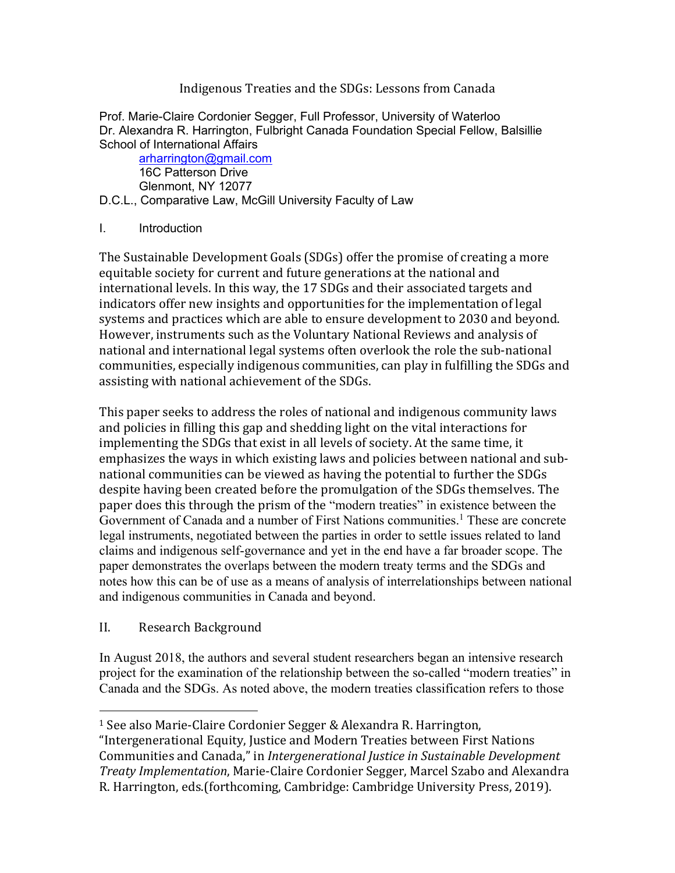## Indigenous Treaties and the SDGs: Lessons from Canada

Prof. Marie-Claire Cordonier Segger, Full Professor, University of Waterloo Dr. Alexandra R. Harrington, Fulbright Canada Foundation Special Fellow, Balsillie School of International Affairs

arharrington@gmail.com 16C Patterson Drive Glenmont, NY 12077

D.C.L., Comparative Law, McGill University Faculty of Law

## I. Introduction

The Sustainable Development Goals (SDGs) offer the promise of creating a more equitable society for current and future generations at the national and international levels. In this way, the 17 SDGs and their associated targets and indicators offer new insights and opportunities for the implementation of legal systems and practices which are able to ensure development to 2030 and beyond. However, instruments such as the Voluntary National Reviews and analysis of national and international legal systems often overlook the role the sub-national communities, especially indigenous communities, can play in fulfilling the SDGs and assisting with national achievement of the SDGs.

This paper seeks to address the roles of national and indigenous community laws and policies in filling this gap and shedding light on the vital interactions for implementing the SDGs that exist in all levels of society. At the same time, it emphasizes the ways in which existing laws and policies between national and subnational communities can be viewed as having the potential to further the SDGs despite having been created before the promulgation of the SDGs themselves. The paper does this through the prism of the "modern treaties" in existence between the Government of Canada and a number of First Nations communities.<sup>1</sup> These are concrete legal instruments, negotiated between the parties in order to settle issues related to land claims and indigenous self-governance and yet in the end have a far broader scope. The paper demonstrates the overlaps between the modern treaty terms and the SDGs and notes how this can be of use as a means of analysis of interrelationships between national and indigenous communities in Canada and beyond.

## II. Research Background

In August 2018, the authors and several student researchers began an intensive research project for the examination of the relationship between the so-called "modern treaties" in Canada and the SDGs. As noted above, the modern treaties classification refers to those

 $1$  See also Marie-Claire Cordonier Segger & Alexandra R. Harrington,

<sup>&</sup>quot;Intergenerational Equity, Justice and Modern Treaties between First Nations Communities and Canada," in *Intergenerational Justice in Sustainable Development Treaty Implementation*, Marie-Claire Cordonier Segger, Marcel Szabo and Alexandra R. Harrington, eds.(forthcoming, Cambridge: Cambridge University Press, 2019).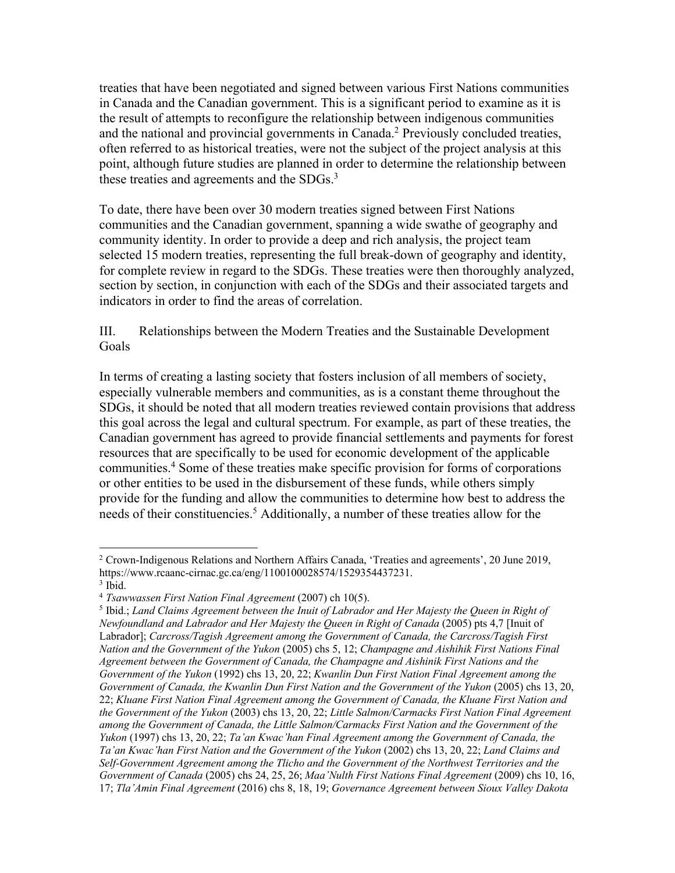treaties that have been negotiated and signed between various First Nations communities in Canada and the Canadian government. This is a significant period to examine as it is the result of attempts to reconfigure the relationship between indigenous communities and the national and provincial governments in Canada.<sup>2</sup> Previously concluded treaties, often referred to as historical treaties, were not the subject of the project analysis at this point, although future studies are planned in order to determine the relationship between these treaties and agreements and the SDGs.<sup>3</sup>

To date, there have been over 30 modern treaties signed between First Nations communities and the Canadian government, spanning a wide swathe of geography and community identity. In order to provide a deep and rich analysis, the project team selected 15 modern treaties, representing the full break-down of geography and identity, for complete review in regard to the SDGs. These treaties were then thoroughly analyzed, section by section, in conjunction with each of the SDGs and their associated targets and indicators in order to find the areas of correlation.

III. Relationships between the Modern Treaties and the Sustainable Development Goals

In terms of creating a lasting society that fosters inclusion of all members of society, especially vulnerable members and communities, as is a constant theme throughout the SDGs, it should be noted that all modern treaties reviewed contain provisions that address this goal across the legal and cultural spectrum. For example, as part of these treaties, the Canadian government has agreed to provide financial settlements and payments for forest resources that are specifically to be used for economic development of the applicable communities.4 Some of these treaties make specific provision for forms of corporations or other entities to be used in the disbursement of these funds, while others simply provide for the funding and allow the communities to determine how best to address the needs of their constituencies.<sup>5</sup> Additionally, a number of these treaties allow for the

<sup>&</sup>lt;sup>2</sup> Crown-Indigenous Relations and Northern Affairs Canada, 'Treaties and agreements', 20 June 2019, https://www.rcaanc-cirnac.gc.ca/eng/1100100028574/1529354437231.<br><sup>3</sup> Ibid.<br><sup>4</sup> *Tsawwassen First Nation Final Agreement* (2007) ch 10(5).

<sup>&</sup>lt;sup>5</sup> Ibid.; *Land Claims Agreement between the Inuit of Labrador and Her Majesty the Queen in Right of Newfoundland and Labrador and Her Majesty the Queen in Right of Canada* (2005) pts 4,7 [Inuit of Labrador]; *Carcross/Tagish Agreement among the Government of Canada, the Carcross/Tagish First Nation and the Government of the Yukon* (2005) chs 5, 12; *Champagne and Aishihik First Nations Final Agreement between the Government of Canada, the Champagne and Aishinik First Nations and the Government of the Yukon* (1992) chs 13, 20, 22; *Kwanlin Dun First Nation Final Agreement among the Government of Canada, the Kwanlin Dun First Nation and the Government of the Yukon* (2005) chs 13, 20, 22; *Kluane First Nation Final Agreement among the Government of Canada, the Kluane First Nation and the Government of the Yukon* (2003) chs 13, 20, 22; *Little Salmon/Carmacks First Nation Final Agreement among the Government of Canada, the Little Salmon/Carmacks First Nation and the Government of the Yukon* (1997) chs 13, 20, 22; *Ta'an Kwac'han Final Agreement among the Government of Canada, the Ta'an Kwac'han First Nation and the Government of the Yukon* (2002) chs 13, 20, 22; *Land Claims and Self-Government Agreement among the Tlicho and the Government of the Northwest Territories and the Government of Canada* (2005) chs 24, 25, 26; *Maa'Nulth First Nations Final Agreement* (2009) chs 10, 16, 17; *Tla'Amin Final Agreement* (2016) chs 8, 18, 19; *Governance Agreement between Sioux Valley Dakota*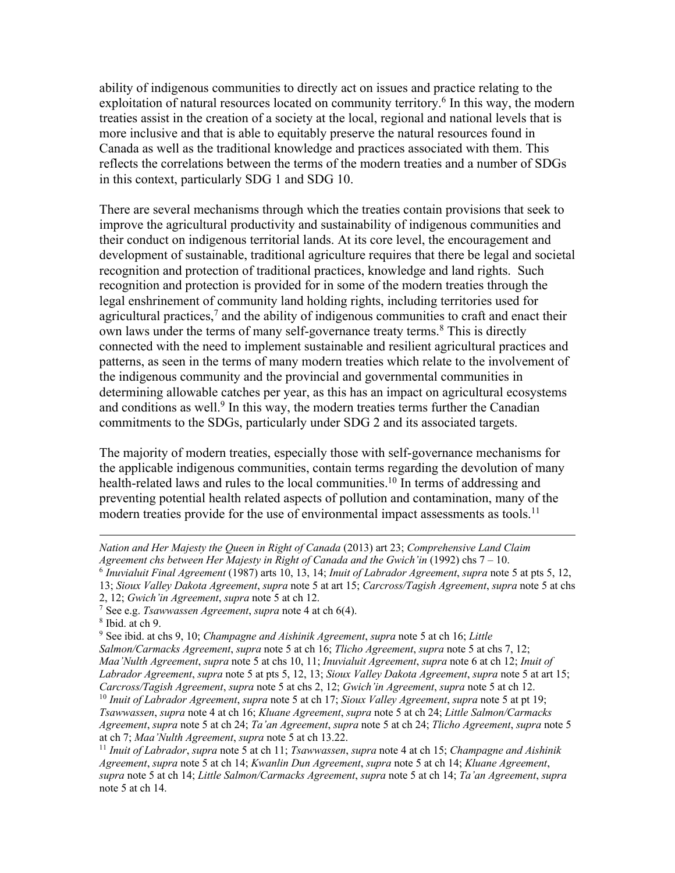ability of indigenous communities to directly act on issues and practice relating to the exploitation of natural resources located on community territory.<sup>6</sup> In this way, the modern treaties assist in the creation of a society at the local, regional and national levels that is more inclusive and that is able to equitably preserve the natural resources found in Canada as well as the traditional knowledge and practices associated with them. This reflects the correlations between the terms of the modern treaties and a number of SDGs in this context, particularly SDG 1 and SDG 10.

There are several mechanisms through which the treaties contain provisions that seek to improve the agricultural productivity and sustainability of indigenous communities and their conduct on indigenous territorial lands. At its core level, the encouragement and development of sustainable, traditional agriculture requires that there be legal and societal recognition and protection of traditional practices, knowledge and land rights. Such recognition and protection is provided for in some of the modern treaties through the legal enshrinement of community land holding rights, including territories used for agricultural practices, $<sup>7</sup>$  and the ability of indigenous communities to craft and enact their</sup> own laws under the terms of many self-governance treaty terms.<sup>8</sup> This is directly connected with the need to implement sustainable and resilient agricultural practices and patterns, as seen in the terms of many modern treaties which relate to the involvement of the indigenous community and the provincial and governmental communities in determining allowable catches per year, as this has an impact on agricultural ecosystems and conditions as well.<sup>9</sup> In this way, the modern treaties terms further the Canadian commitments to the SDGs, particularly under SDG 2 and its associated targets.

The majority of modern treaties, especially those with self-governance mechanisms for the applicable indigenous communities, contain terms regarding the devolution of many health-related laws and rules to the local communities.<sup>10</sup> In terms of addressing and preventing potential health related aspects of pollution and contamination, many of the modern treaties provide for the use of environmental impact assessments as tools.<sup>11</sup>

*Nation and Her Majesty the Queen in Right of Canada* (2013) art 23; *Comprehensive Land Claim*  Agreement chs between Her Majesty in Right of Canada and the Gwich'in (1992) chs 7 – 10.<br><sup>6</sup> Inuvialuit Final Agreement (1987) arts 10, 13, 14; Inuit of Labrador Agreement, supra note 5 at pts 5, 12,

<sup>13;</sup> *Sioux Valley Dakota Agreement*, *supra* note 5 at art 15; *Carcross/Tagish Agreement*, *supra* note 5 at chs

<sup>2, 12;</sup> *Gwich'in Agreement*, *supra* note 5 at ch 12. 7 See e.g. *Tsawwassen Agreement*, *supra* note 4 at ch 6(4). 8 Ibid. at ch 9.

<sup>9</sup> See ibid. at chs 9, 10; *Champagne and Aishinik Agreement*, *supra* note 5 at ch 16; *Little* 

*Salmon/Carmacks Agreement*, *supra* note 5 at ch 16; *Tlicho Agreement*, *supra* note 5 at chs 7, 12; *Maa'Nulth Agreement*, *supra* note 5 at chs 10, 11; *Inuvialuit Agreement*, *supra* note 6 at ch 12; *Inuit of Labrador Agreement*, *supra* note 5 at pts 5, 12, 13; *Sioux Valley Dakota Agreement*, *supra* note 5 at art 15; *Carcross/Tagish Agreement*, *supra* note 5 at chs 2, 12; *Gwich'in Agreement*, *supra* note 5 at ch 12. <sup>10</sup> *Inuit of Labrador Agreement*, *supra* note 5 at ch 17; *Sioux Valley Agreement*, *supra* note 5 at pt 19; *Tsawwassen*, *supra* note 4 at ch 16; *Kluane Agreement*, *supra* note 5 at ch 24; *Little Salmon/Carmacks Agreement*, *supra* note 5 at ch 24; *Ta'an Agreement*, *supra* note 5 at ch 24; *Tlicho Agreement*, *supra* note 5 at ch 7; *Maa'Nulth Agreement*, *supra* note 5 at ch 13.22.

<sup>11</sup> *Inuit of Labrador*, *supra* note 5 at ch 11; *Tsawwassen*, *supra* note 4 at ch 15; *Champagne and Aishinik Agreement*, *supra* note 5 at ch 14; *Kwanlin Dun Agreement*, *supra* note 5 at ch 14; *Kluane Agreement*, *supra* note 5 at ch 14; *Little Salmon/Carmacks Agreement*, *supra* note 5 at ch 14; *Ta'an Agreement*, *supra* note 5 at ch 14.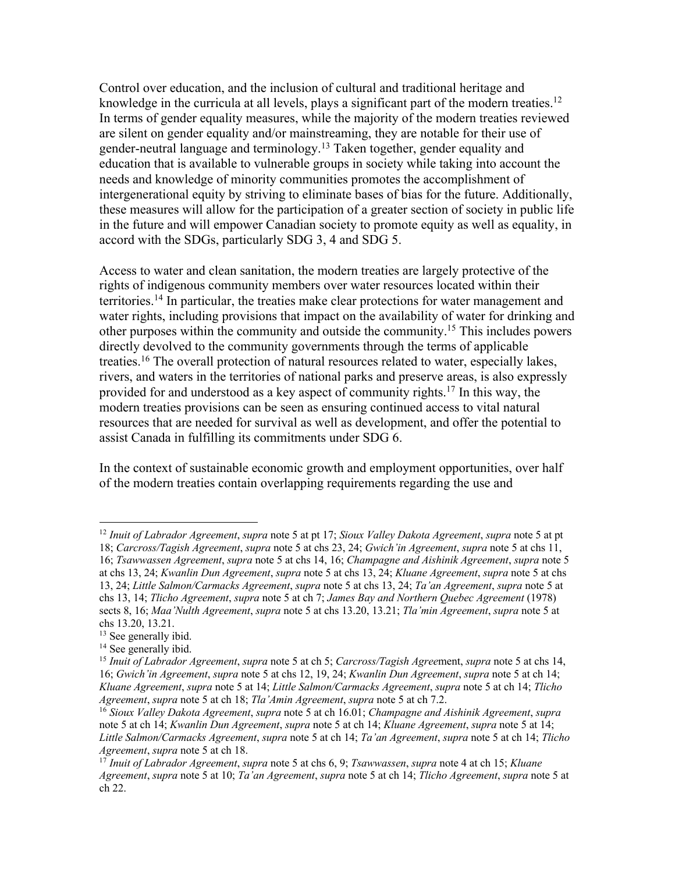Control over education, and the inclusion of cultural and traditional heritage and knowledge in the curricula at all levels, plays a significant part of the modern treaties.<sup>12</sup> In terms of gender equality measures, while the majority of the modern treaties reviewed are silent on gender equality and/or mainstreaming, they are notable for their use of gender-neutral language and terminology.<sup>13</sup> Taken together, gender equality and education that is available to vulnerable groups in society while taking into account the needs and knowledge of minority communities promotes the accomplishment of intergenerational equity by striving to eliminate bases of bias for the future. Additionally, these measures will allow for the participation of a greater section of society in public life in the future and will empower Canadian society to promote equity as well as equality, in accord with the SDGs, particularly SDG 3, 4 and SDG 5.

Access to water and clean sanitation, the modern treaties are largely protective of the rights of indigenous community members over water resources located within their territories.14 In particular, the treaties make clear protections for water management and water rights, including provisions that impact on the availability of water for drinking and other purposes within the community and outside the community.15 This includes powers directly devolved to the community governments through the terms of applicable treaties.16 The overall protection of natural resources related to water, especially lakes, rivers, and waters in the territories of national parks and preserve areas, is also expressly provided for and understood as a key aspect of community rights. <sup>17</sup> In this way, the modern treaties provisions can be seen as ensuring continued access to vital natural resources that are needed for survival as well as development, and offer the potential to assist Canada in fulfilling its commitments under SDG 6.

In the context of sustainable economic growth and employment opportunities, over half of the modern treaties contain overlapping requirements regarding the use and

<sup>12</sup> *Inuit of Labrador Agreement*, *supra* note 5 at pt 17; *Sioux Valley Dakota Agreement*, *supra* note 5 at pt 18; *Carcross/Tagish Agreement*, *supra* note 5 at chs 23, 24; *Gwich'in Agreement*, *supra* note 5 at chs 11, 16; *Tsawwassen Agreement*, *supra* note 5 at chs 14, 16; *Champagne and Aishinik Agreement*, *supra* note 5 at chs 13, 24; *Kwanlin Dun Agreement*, *supra* note 5 at chs 13, 24; *Kluane Agreement*, *supra* note 5 at chs 13, 24; *Little Salmon/Carmacks Agreement*, *supra* note 5 at chs 13, 24; *Ta'an Agreement*, *supra* note 5 at chs 13, 14; *Tlicho Agreement*, *supra* note 5 at ch 7; *James Bay and Northern Quebec Agreement* (1978) sects 8, 16; *Maa'Nulth Agreement*, *supra* note 5 at chs 13.20, 13.21; *Tla'min Agreement*, *supra* note 5 at chs 13.20, 13.21.

<sup>&</sup>lt;sup>13</sup> See generally ibid.

<sup>&</sup>lt;sup>14</sup> See generally ibid.

<sup>15</sup> *Inuit of Labrador Agreement*, *supra* note 5 at ch 5; *Carcross/Tagish Agree*ment, *supra* note 5 at chs 14, 16; *Gwich'in Agreement*, *supra* note 5 at chs 12, 19, 24; *Kwanlin Dun Agreement*, *supra* note 5 at ch 14; *Kluane Agreement*, *supra* note 5 at 14; *Little Salmon/Carmacks Agreement*, *supra* note 5 at ch 14; *Tlicho*  Agreement, supra note 5 at ch 18; Tla'Amin Agreement, supra note 5 at ch 7.2.<br><sup>16</sup> Sioux Valley Dakota Agreement, supra note 5 at ch 16.01; Champagne and Aishinik Agreement, supra

note 5 at ch 14; *Kwanlin Dun Agreement*, *supra* note 5 at ch 14; *Kluane Agreement*, *supra* note 5 at 14; *Little Salmon/Carmacks Agreement*, *supra* note 5 at ch 14; *Ta'an Agreement*, *supra* note 5 at ch 14; *Tlicho Agreement*, *supra* note 5 at ch 18.

<sup>17</sup> *Inuit of Labrador Agreement*, *supra* note 5 at chs 6, 9; *Tsawwassen*, *supra* note 4 at ch 15; *Kluane Agreement*, *supra* note 5 at 10; *Ta'an Agreement*, *supra* note 5 at ch 14; *Tlicho Agreement*, *supra* note 5 at ch 22.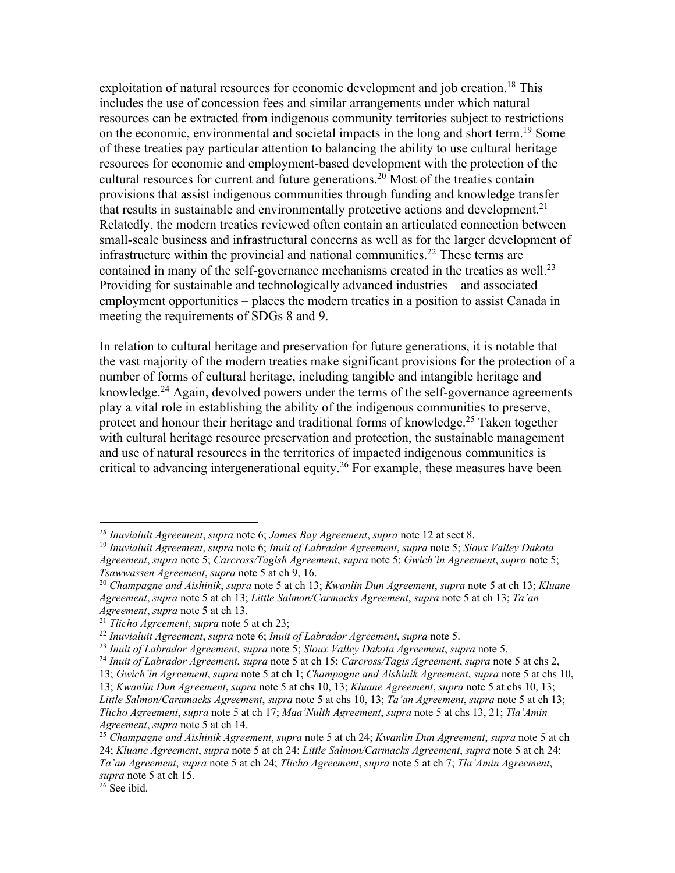exploitation of natural resources for economic development and job creation.<sup>18</sup> This includes the use of concession fees and similar arrangements under which natural resources can be extracted from indigenous community territories subject to restrictions on the economic, environmental and societal impacts in the long and short term.<sup>19</sup> Some of these treaties pay particular attention to balancing the ability to use cultural heritage resources for economic and employment-based development with the protection of the cultural resources for current and future generations.<sup>20</sup> Most of the treaties contain provisions that assist indigenous communities through funding and knowledge transfer that results in sustainable and environmentally protective actions and development.<sup>21</sup> Relatedly, the modern treaties reviewed often contain an articulated connection between small-scale business and infrastructural concerns as well as for the larger development of infrastructure within the provincial and national communities.<sup>22</sup> These terms are contained in many of the self-governance mechanisms created in the treaties as well.<sup>23</sup> Providing for sustainable and technologically advanced industries – and associated employment opportunities – places the modern treaties in a position to assist Canada in meeting the requirements of SDGs 8 and 9.

In relation to cultural heritage and preservation for future generations, it is notable that the vast majority of the modern treaties make significant provisions for the protection of a number of forms of cultural heritage, including tangible and intangible heritage and knowledge.<sup>24</sup> Again, devolved powers under the terms of the self-governance agreements play a vital role in establishing the ability of the indigenous communities to preserve, protect and honour their heritage and traditional forms of knowledge.25 Taken together with cultural heritage resource preservation and protection, the sustainable management and use of natural resources in the territories of impacted indigenous communities is critical to advancing intergenerational equity.<sup>26</sup> For example, these measures have been

<sup>&</sup>lt;sup>18</sup> Inuvialuit Agreement, supra note 6; James Bay Agreement, supra note 12 at sect 8.<br><sup>19</sup> Inuvialuit Agreement, supra note 6; Inuit of Labrador Agreement, supra note 5; Sioux Valley Dakota

*Agreement*, *supra* note 5; *Carcross/Tagish Agreement*, *supra* note 5; *Gwich'in Agreement*, *supra* note 5; *Tsawwassen Agreement*, *supra* note 5 at ch 9, 16. 20 *Champagne and Aishinik*, *supra* note 5 at ch 13; *Kwanlin Dun Agreement*, *supra* note 5 at ch 13; *Kluane* 

*Agreement*, *supra* note 5 at ch 13; *Little Salmon/Carmacks Agreement*, *supra* note 5 at ch 13; *Ta'an Agreement*, *supra* note 5 at ch 13. 21 *Tlicho Agreement*, *supra* note 5 at ch 23; 22 *Inuvialuit Agreement*, *supra* note 6; *Inuit of Labrador Agreement*, *supra* note 5.

<sup>&</sup>lt;sup>24</sup> Inuit of Labrador Agreement, supra note 5 at ch 15; Carcross/Tagis Agreement, supra note 5 at chs 2,

<sup>13;</sup> *Gwich'in Agreement*, *supra* note 5 at ch 1; *Champagne and Aishinik Agreement*, *supra* note 5 at chs 10,

<sup>13;</sup> *Kwanlin Dun Agreement*, *supra* note 5 at chs 10, 13; *Kluane Agreement*, *supra* note 5 at chs 10, 13; *Little Salmon/Caramacks Agreement*, *supra* note 5 at chs 10, 13; *Ta'an Agreement*, *supra* note 5 at ch 13; *Tlicho Agreement*, *supra* note 5 at ch 17; *Maa'Nulth Agreement*, *supra* note 5 at chs 13, 21; *Tla'Amin Agreement*, *supra* note 5 at ch 14.

<sup>25</sup> *Champagne and Aishinik Agreement*, *supra* note 5 at ch 24; *Kwanlin Dun Agreement*, *supra* note 5 at ch 24; *Kluane Agreement*, *supra* note 5 at ch 24; *Little Salmon/Carmacks Agreement*, *supra* note 5 at ch 24; *Ta'an Agreement*, *supra* note 5 at ch 24; *Tlicho Agreement*, *supra* note 5 at ch 7; *Tla'Amin Agreement*, *supra* note 5 at ch 15.

 $26$  See ibid.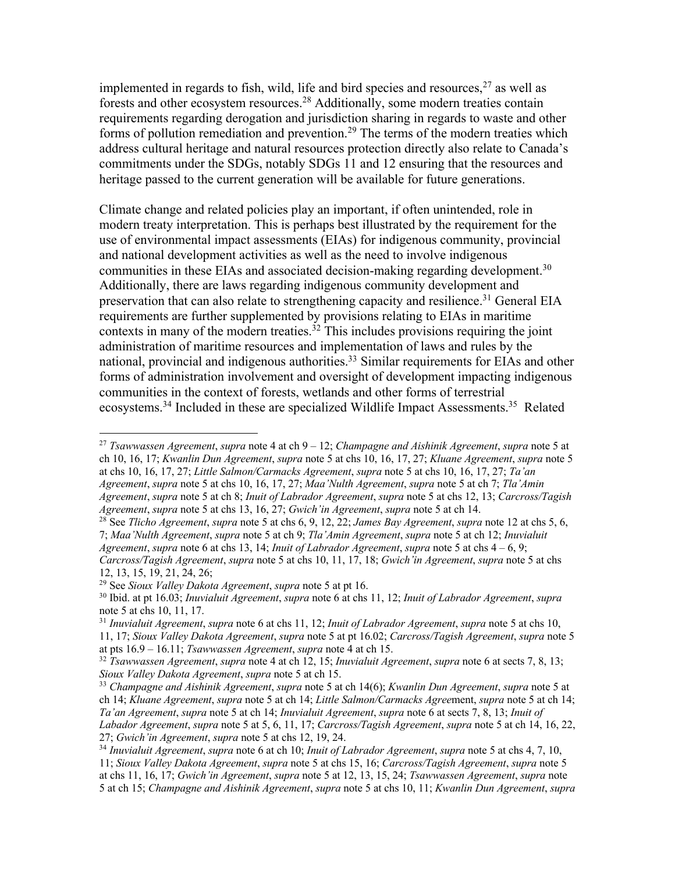implemented in regards to fish, wild, life and bird species and resources,  $27$  as well as forests and other ecosystem resources.28 Additionally, some modern treaties contain requirements regarding derogation and jurisdiction sharing in regards to waste and other forms of pollution remediation and prevention.<sup>29</sup> The terms of the modern treaties which address cultural heritage and natural resources protection directly also relate to Canada's commitments under the SDGs, notably SDGs 11 and 12 ensuring that the resources and heritage passed to the current generation will be available for future generations.

Climate change and related policies play an important, if often unintended, role in modern treaty interpretation. This is perhaps best illustrated by the requirement for the use of environmental impact assessments (EIAs) for indigenous community, provincial and national development activities as well as the need to involve indigenous communities in these EIAs and associated decision-making regarding development.<sup>30</sup> Additionally, there are laws regarding indigenous community development and preservation that can also relate to strengthening capacity and resilience.<sup>31</sup> General EIA requirements are further supplemented by provisions relating to EIAs in maritime contexts in many of the modern treaties.<sup>32</sup> This includes provisions requiring the joint administration of maritime resources and implementation of laws and rules by the national, provincial and indigenous authorities.33 Similar requirements for EIAs and other forms of administration involvement and oversight of development impacting indigenous communities in the context of forests, wetlands and other forms of terrestrial ecosystems.34 Included in these are specialized Wildlife Impact Assessments.35 Related

<sup>28</sup> See *Tlicho Agreement*, *supra* note 5 at chs 6, 9, 12, 22; *James Bay Agreement*, *supra* note 12 at chs 5, 6, 7; *Maa'Nulth Agreement*, *supra* note 5 at ch 9; *Tla'Amin Agreement*, *supra* note 5 at ch 12; *Inuvialuit Agreement*, *supra* note 6 at chs 13, 14; *Inuit of Labrador Agreement*, *supra* note 5 at chs 4 – 6, 9; *Carcross/Tagish Agreement*, *supra* note 5 at chs 10, 11, 17, 18; *Gwich'in Agreement*, *supra* note 5 at chs

12, 13, 15, 19, 21, 24, 26;<br><sup>29</sup> See *Sioux Valley Dakota Agreement, supra* note 5 at pt 16.

<sup>27</sup> *Tsawwassen Agreement*, *supra* note 4 at ch 9 – 12; *Champagne and Aishinik Agreement*, *supra* note 5 at ch 10, 16, 17; *Kwanlin Dun Agreement*, *supra* note 5 at chs 10, 16, 17, 27; *Kluane Agreement*, *supra* note 5 at chs 10, 16, 17, 27; *Little Salmon/Carmacks Agreement*, *supra* note 5 at chs 10, 16, 17, 27; *Ta'an Agreement*, *supra* note 5 at chs 10, 16, 17, 27; *Maa'Nulth Agreement*, *supra* note 5 at ch 7; *Tla'Amin Agreement*, *supra* note 5 at ch 8; *Inuit of Labrador Agreement*, *supra* note 5 at chs 12, 13; *Carcross/Tagish Agreement*, *supra* note 5 at chs 13, 16, 27; *Gwich'in Agreement*, *supra* note 5 at ch 14.

<sup>&</sup>lt;sup>30</sup> Ibid. at pt 16.03; *Inuvialuit Agreement*, *supra* note 6 at chs 11, 12; *Inuit of Labrador Agreement*, *supra* note 5 at chs 10, 11, 17.

<sup>31</sup> *Inuvialuit Agreement*, *supra* note 6 at chs 11, 12; *Inuit of Labrador Agreement*, *supra* note 5 at chs 10, 11, 17; *Sioux Valley Dakota Agreement*, *supra* note 5 at pt 16.02; *Carcross/Tagish Agreement*, *supra* note 5

at pts 16.9 – 16.11; *Tsawwassen Agreement*, *supra* note 4 at ch 15.<br><sup>32</sup> *Tsawwassen Agreement*, *supra* note 4 at ch 12, 15; *Inuvialuit Agreement*, *supra* note 6 at sects 7, 8, 13;<br>*Sioux Valley Dakota Agreement*, *su* 

<sup>&</sup>lt;sup>33</sup> *Champagne and Aishinik Agreement, supra* note 5 at ch 14(6); *Kwanlin Dun Agreement*, *supra* note 5 at ch 14; *Kluane Agreement*, *supra* note 5 at ch 14; *Little Salmon/Carmacks Agree*ment, *supra* note 5 at ch 14; *Ta'an Agreement*, *supra* note 5 at ch 14; *Inuvialuit Agreement*, *supra* note 6 at sects 7, 8, 13; *Inuit of* 

*Labador Agreement*, *supra* note 5 at 5, 6, 11, 17; *Carcross/Tagish Agreement*, *supra* note 5 at ch 14, 16, 22, 27; *Gwich'in Agreement*, *supra* note 5 at chs 12, 19, 24. 34 *Inuvialuit Agreement*, *supra* note 6 at ch 10; *Inuit of Labrador Agreement*, *supra* note 5 at chs 4, 7, 10,

<sup>11;</sup> *Sioux Valley Dakota Agreement*, *supra* note 5 at chs 15, 16; *Carcross/Tagish Agreement*, *supra* note 5 at chs 11, 16, 17; *Gwich'in Agreement*, *supra* note 5 at 12, 13, 15, 24; *Tsawwassen Agreement*, *supra* note 5 at ch 15; *Champagne and Aishinik Agreement*, *supra* note 5 at chs 10, 11; *Kwanlin Dun Agreement*, *supra*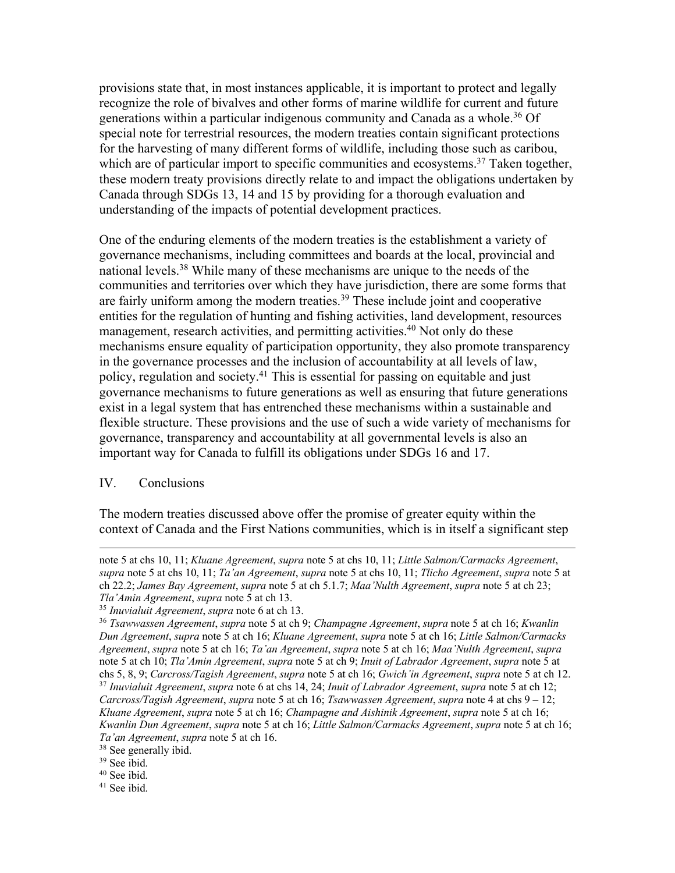provisions state that, in most instances applicable, it is important to protect and legally recognize the role of bivalves and other forms of marine wildlife for current and future generations within a particular indigenous community and Canada as a whole.<sup>36</sup> Of special note for terrestrial resources, the modern treaties contain significant protections for the harvesting of many different forms of wildlife, including those such as caribou, which are of particular import to specific communities and ecosystems.<sup>37</sup> Taken together, these modern treaty provisions directly relate to and impact the obligations undertaken by Canada through SDGs 13, 14 and 15 by providing for a thorough evaluation and understanding of the impacts of potential development practices.

One of the enduring elements of the modern treaties is the establishment a variety of governance mechanisms, including committees and boards at the local, provincial and national levels.<sup>38</sup> While many of these mechanisms are unique to the needs of the communities and territories over which they have jurisdiction, there are some forms that are fairly uniform among the modern treaties.<sup>39</sup> These include joint and cooperative entities for the regulation of hunting and fishing activities, land development, resources management, research activities, and permitting activities.<sup>40</sup> Not only do these mechanisms ensure equality of participation opportunity, they also promote transparency in the governance processes and the inclusion of accountability at all levels of law, policy, regulation and society.<sup>41</sup> This is essential for passing on equitable and just governance mechanisms to future generations as well as ensuring that future generations exist in a legal system that has entrenched these mechanisms within a sustainable and flexible structure. These provisions and the use of such a wide variety of mechanisms for governance, transparency and accountability at all governmental levels is also an important way for Canada to fulfill its obligations under SDGs 16 and 17.

## IV. Conclusions

The modern treaties discussed above offer the promise of greater equity within the context of Canada and the First Nations communities, which is in itself a significant step

note 5 at chs 10, 11; *Kluane Agreement*, *supra* note 5 at chs 10, 11; *Little Salmon/Carmacks Agreement*, *supra* note 5 at chs 10, 11; *Ta'an Agreement*, *supra* note 5 at chs 10, 11; *Tlicho Agreement*, *supra* note 5 at ch 22.2; *James Bay Agreement*, *supra* note 5 at ch 5.1.7; *Maa'Nulth Agreement*, *supra* note 5 at ch 23;

*Tla'Amin Agreement*, *supra* note 5 at ch 13.

<sup>&</sup>lt;sup>36</sup> *Tsawwassen Agreement, supra* note 5 at ch 9; *Champagne Agreement, supra* note 5 at ch 16; *Kwanlin Dun Agreement*, *supra* note 5 at ch 16; *Kluane Agreement*, *supra* note 5 at ch 16; *Little Salmon/Carmacks Agreement*, *supra* note 5 at ch 16; *Ta'an Agreement*, *supra* note 5 at ch 16; *Maa'Nulth Agreement*, *supra* note 5 at ch 10; *Tla'Amin Agreement*, *supra* note 5 at ch 9; *Inuit of Labrador Agreement*, *supra* note 5 at chs 5, 8, 9; Carcross/Tagish Agreement, supra note 5 at ch 16; Gwich'in Agreement, supra note 5 at ch 12.<br><sup>37</sup> Inuvialuit Agreement, supra note 6 at chs 14, 24; Inuit of Labrador Agreement, supra note 5 at ch 12; *Carcross/Tagish Agreement*, *supra* note 5 at ch 16; *Tsawwassen Agreement*, *supra* note 4 at chs 9 – 12; *Kluane Agreement*, *supra* note 5 at ch 16; *Champagne and Aishinik Agreement*, *supra* note 5 at ch 16; *Kwanlin Dun Agreement*, *supra* note 5 at ch 16; *Little Salmon/Carmacks Agreement*, *supra* note 5 at ch 16; *Ta'an Agreement*, *supra* note 5 at ch 16. 38 See generally ibid.

 $39$  See ibid.

<sup>40</sup> See ibid.

<sup>41</sup> See ibid.